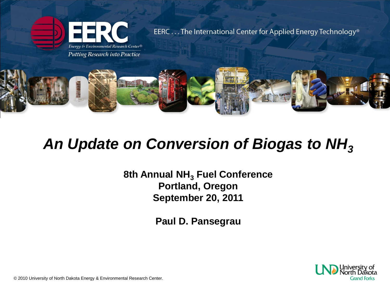

#### *An Update on Conversion of Biogas to NH<sup>3</sup>*

**8th Annual NH<sup>3</sup> Fuel Conference Portland, Oregon September 20, 2011**

**Paul D. Pansegrau**



© 2010 University of North Dakota Energy & Environmental Research Center.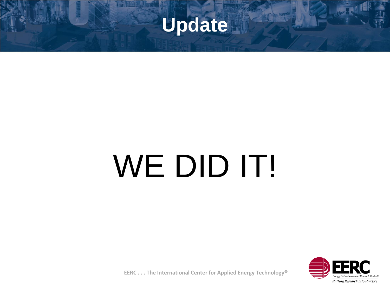

# WE DID IT!

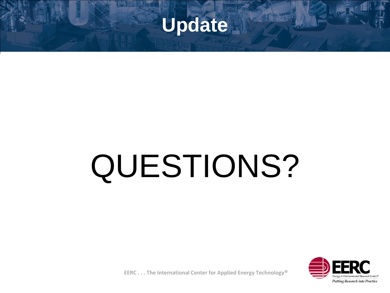

## QUESTIONS?

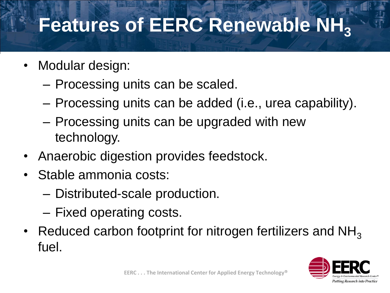## **Features of EERC Renewable NH<sub>3</sub>**

- Modular design:
	- Processing units can be scaled.
	- Processing units can be added (i.e., urea capability).
	- Processing units can be upgraded with new technology.
- Anaerobic digestion provides feedstock.
- Stable ammonia costs:
	- Distributed-scale production.
	- Fixed operating costs.
- Reduced carbon footprint for nitrogen fertilizers and  $NH<sub>3</sub>$ fuel.

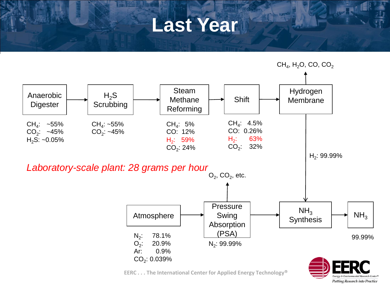#### **Last Year**



**EERC . . . The International Center for Applied Energy Technology**

**Putting Research into Practice** 

**Enervu & Environmental Research**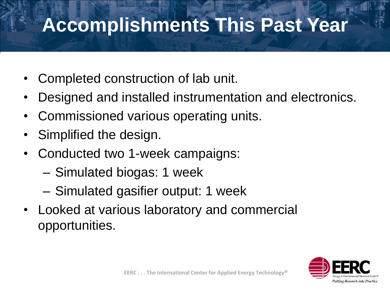### **Accomplishments This Past Year**

- Completed construction of lab unit.
- Designed and installed instrumentation and electronics.
- Commissioned various operating units.
- Simplified the design.
- Conducted two 1-week campaigns:
	- Simulated biogas: 1 week
	- Simulated gasifier output: 1 week
- Looked at various laboratory and commercial opportunities.

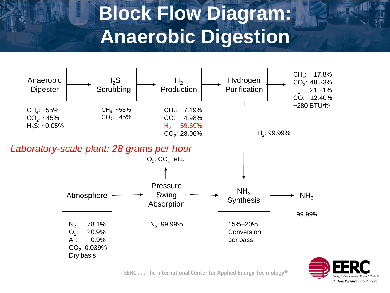## **Block Flow Diagram: Anaerobic Digestion**



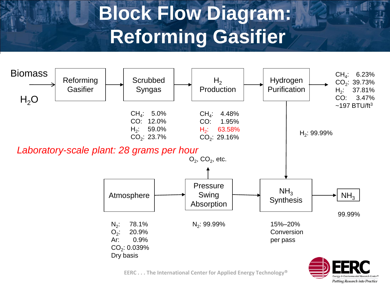## **Block Flow Diagram: Reforming Gasifier**



**EERC . . . The International Center for Applied Energy Technology**

**Putting Research into Practice** 

**Enervy & Environmental Research**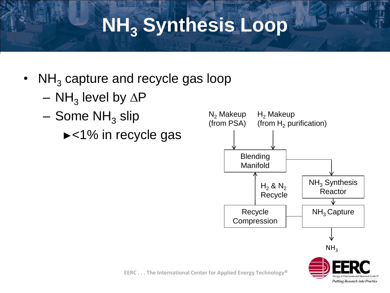### **NH<sup>3</sup> Synthesis Loop**

- $NH<sub>3</sub>$  capture and recycle gas loop
	- $-$  NH $_3$  level by  $\Delta \mathsf{P}$
	- $-$  Some NH<sub>3</sub> slip
		- ►<1% in recycle gas

![](_page_8_Figure_5.jpeg)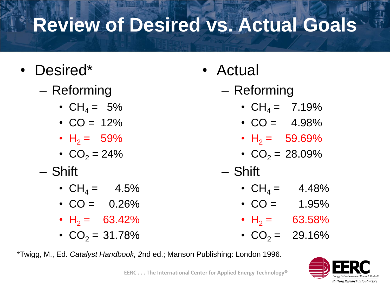## **Review of Desired vs. Actual Goals**

- Desired\*
	- Reforming
		- $CH_4 = 5\%$
		- $CO = 12\%$
		- $H_2 = 59\%$
		- $CO_2 = 24\%$
	- Shift
		- $CH<sub>4</sub> = 4.5%$
		- $CO = 0.26\%$
		- $H_2 = 63.42\%$
		- $CO<sub>2</sub> = 31.78%$
- Actual
	- Reforming
		- $CH_4 = 7.19\%$
		- $CO = 4.98%$
		- H<sub>2</sub> = 59.69%
		- $CO<sub>2</sub> = 28.09%$
	- Shift
		- $CH_4 = 4.48\%$
		- $CO = 1.95\%$
		- $H_2 = 63.58\%$
		- $CO<sub>2</sub> = 29.16%$

\*Twigg, M., Ed. *Catalyst Handbook, 2*nd ed.; Manson Publishing: London 1996.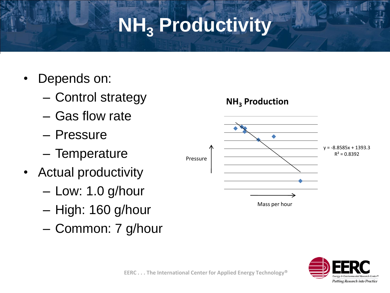## **NH<sup>3</sup> Productivity**

- Depends on:
	- Control strategy
	- Gas flow rate
	- Pressure
	- Temperature
- Actual productivity
	- Low: 1.0 g/hour
	- High: 160 g/hour
	- Common: 7 g/hour

![](_page_10_Figure_10.jpeg)

![](_page_10_Picture_11.jpeg)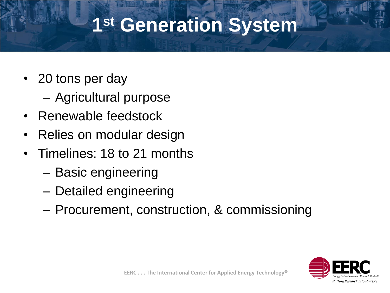#### **1 st Generation System**

- 20 tons per day
	- Agricultural purpose
- Renewable feedstock
- Relies on modular design
- Timelines: 18 to 21 months
	- Basic engineering
	- Detailed engineering
	- Procurement, construction, & commissioning

![](_page_11_Picture_9.jpeg)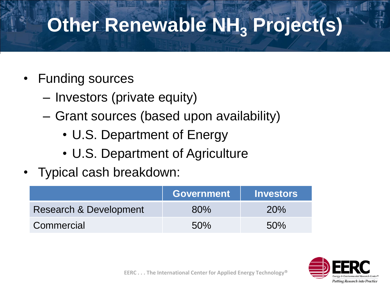## **Other Renewable NH<sup>3</sup> Project(s)**

- Funding sources
	- Investors (private equity)
	- Grant sources (based upon availability)
		- U.S. Department of Energy
		- U.S. Department of Agriculture
- Typical cash breakdown:

|                        | <b>Government</b> | <b>Investors</b> |
|------------------------|-------------------|------------------|
| Research & Development | 80%               | 20%              |
| Commercial             | 50%               | 50%              |

![](_page_12_Picture_8.jpeg)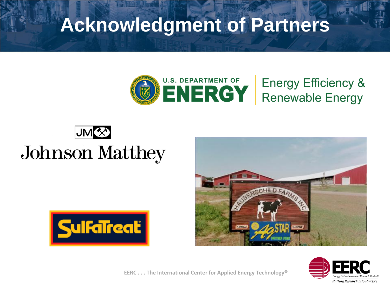### **Acknowledgment of Partners**

![](_page_13_Picture_1.jpeg)

#### JM<sup>3</sup> **Johnson Matthey**

![](_page_13_Picture_3.jpeg)

![](_page_13_Picture_4.jpeg)

![](_page_13_Picture_5.jpeg)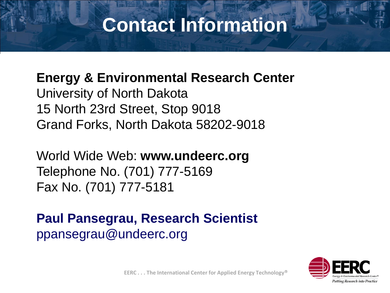#### **Contact Information**

**Energy & Environmental Research Center** University of North Dakota 15 North 23rd Street, Stop 9018 Grand Forks, North Dakota 58202-9018

World Wide Web: **www.undeerc.org** Telephone No. (701) 777-5169 Fax No. (701) 777-5181

**Paul Pansegrau, Research Scientist** ppansegrau@undeerc.org

![](_page_14_Picture_4.jpeg)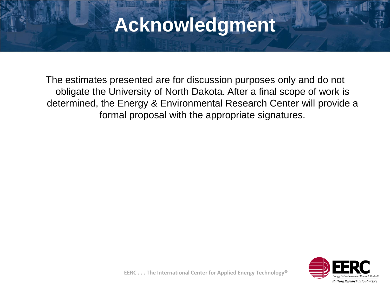#### **Acknowledgment**

The estimates presented are for discussion purposes only and do not obligate the University of North Dakota. After a final scope of work is determined, the Energy & Environmental Research Center will provide a formal proposal with the appropriate signatures.

![](_page_15_Picture_2.jpeg)